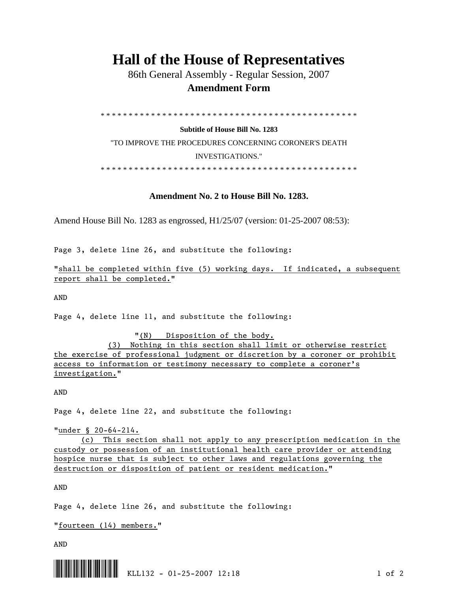## **Hall of the House of Representatives**

 86th General Assembly - Regular Session, 2007  **Amendment Form** 

\* \* \* \* \* \* \* \* \* \* \* \* \* \* \* \* \* \* \* \* \* \* \* \* \* \* \* \* \* \* \* \* \* \* \* \* \* \* \* \* \* \* \* \* \* \*

**Subtitle of House Bill No. 1283**  "TO IMPROVE THE PROCEDURES CONCERNING CORONER'S DEATH INVESTIGATIONS." \* \* \* \* \* \* \* \* \* \* \* \* \* \* \* \* \* \* \* \* \* \* \* \* \* \* \* \* \* \* \* \* \* \* \* \* \* \* \* \* \* \* \* \* \* \*

## **Amendment No. 2 to House Bill No. 1283.**

Amend House Bill No. 1283 as engrossed, H1/25/07 (version: 01-25-2007 08:53):

Page 3, delete line 26, and substitute the following:

"shall be completed within five (5) working days. If indicated, a subsequent report shall be completed."

AND

Page 4, delete line 11, and substitute the following:

 "(N) Disposition of the body. (3) Nothing in this section shall limit or otherwise restrict the exercise of professional judgment or discretion by a coroner or prohibit access to information or testimony necessary to complete a coroner's investigation."

AND

Page 4, delete line 22, and substitute the following:

"under § 20-64-214.

 (c) This section shall not apply to any prescription medication in the custody or possession of an institutional health care provider or attending hospice nurse that is subject to other laws and regulations governing the destruction or disposition of patient or resident medication."

AND

Page 4, delete line 26, and substitute the following:

"fourteen (14) members."

AND